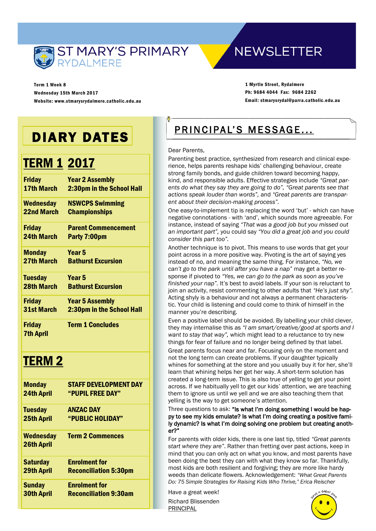

**NEWSLETTER** 

Term 1 Week 8 Wednesday 15th March 2017 Website: www.stmarysrydalmere.catholic.edu.au

1 Myrtle Street, Rydalmere Ph: 9684 4044 Fax: 9684 2262 Email: stmarysrydal@parra.catholic.edu.au

# DIARY DATES

# TERM 1 2017

| <b>Friday</b>     | <b>Year 2 Assembly</b>           |
|-------------------|----------------------------------|
| <b>17th March</b> | <b>2:30pm in the School Hall</b> |
| Wednesday         | <b>NSWCPS Swimming</b>           |
| 22nd March        | <b>Championships</b>             |
| <b>Friday</b>     | <b>Parent Commencement</b>       |
| <b>24th March</b> | Party 7:00pm                     |
| <b>Monday</b>     | Year 5                           |
| 27th March        | <b>Bathurst Excursion</b>        |
| <b>Tuesday</b>    | Year 5                           |
| 28th March        | <b>Bathurst Excursion</b>        |
| <b>Friday</b>     | <b>Year 5 Assembly</b>           |
| <b>31st March</b> | 2:30pm in the School Hall        |
| <b>Friday</b>     | <b>Term 1 Concludes</b>          |
| <b>7th April</b>  |                                  |

# TERM 2

| <b>Monday</b>     | <b>STAFF DEVELOPMENT DAY</b><br>"PUPIL FREE DAY" |
|-------------------|--------------------------------------------------|
| <b>24th April</b> |                                                  |
| <b>Tuesday</b>    | <b>ANZAC DAY</b>                                 |
| <b>25th April</b> | "PUBLIC HOLIDAY"                                 |
| <b>Wednesday</b>  | <b>Term 2 Commences</b>                          |
| <b>26th April</b> |                                                  |
| <b>Saturday</b>   | <b>Enrolment for</b>                             |
| <b>29th April</b> | <b>Reconciliation 5:30pm</b>                     |
| <b>Sunday</b>     | <b>Enrolment for</b>                             |
| <b>30th April</b> | <b>Reconciliation 9:30am</b>                     |

# PRINCIPAL'S MESSAGE...

#### Dear Parents,

Parenting best practice, synthesized from research and clinical experience, helps parents reshape kids' challenging behaviour, create strong family bonds, and guide children toward becoming happy, kind, and responsible adults. Effective strategies include *"Great parents do what they say they are going to do", "Great parents see that actions speak louder than words",* and *"Great parents are transparent about their decision-making process".* 

One easy-to-implement tip is replacing the word 'but' - which can have negative connotations - with 'and', which sounds more agreeable. For instance, instead of saying *"That was a good job but you missed out an important part",* you could say *"You did a great job and you could consider this part too".*

Another technique is to pivot. This means to use words that get your point across in a more positive way. Pivoting is the art of saying yes instead of no, and meaning the same thing. For instance, *"No, we can't go to the park until after you have a nap"* may get a better response if pivoted to *"Yes, we can go to the park as soon as you've finished your nap".* It's best to avoid labels. If your son is reluctant to join an activity, resist commenting to other adults that *"He's just shy".* Acting shyly is a behaviour and not always a permanent characteristic. Your child is listening and could come to think of himself in the manner you're describing.

Even a positive label should be avoided. By labelling your child clever, they may internalise this as *"I am smart/creative/good at sports and I want to stay that way",* which might lead to a reluctance to try new things for fear of failure and no longer being defined by that label. Great parents focus near and far. Focusing only on the moment and not the long term can create problems. If your daughter typically whines for something at the store and you usually buy it for her, she'll learn that whining helps her get her way. A short-term solution has created a long-term issue. This is also true of yelling to get your point across. If we habitually yell to get our kids' attention, we are teaching them to ignore us until we yell and we are also teaching them that yelling is the way to get someone's attention.

Three questions to ask: "Is what I'm doing something I would be happy to see my kids emulate? Is what I'm doing creating a positive family dynamic? Is what I'm doing solving one problem but creating another?"

For parents with older kids, there is one last tip, titled *"Great parents start where they are"*. Rather than fretting over past actions, keep in mind that you can only act on what you know, and most parents have been doing the best they can with what they know so far. Thankfully, most kids are both resilient and forgiving; they are more like hardy weeds than delicate flowers. Acknowledgement: *"What Great Parents Do: 75 Simple Strategies for Raising Kids Who Thrive," Erica Reischer*

Have a great week! Richard Blissenden

PRINCIPAL

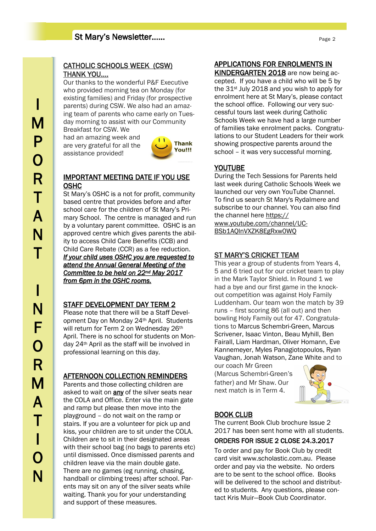## St Mary's Newsletter……

#### CATHOLIC SCHOOLS WEEK (CSW) THANK YOU….

Our thanks to the wonderful P&F Executive who provided morning tea on Monday (for existing families) and Friday (for prospective parents) during CSW. We also had an amazing team of parents who came early on Tuesday morning to assist with our Community

Breakfast for CSW. We had an amazing week and are very grateful for all the assistance provided!



#### IMPORTANT MEETING DATE IF YOU USE OSHC

St Mary's OSHC is a not for profit, community based centre that provides before and after school care for the children of St Mary's Primary School. The centre is managed and run by a voluntary parent committee. OSHC is an approved centre which gives parents the ability to access Child Care Benefits (CCB) and Child Care Rebate (CCR) as a fee reduction. *If your child uses OSHC you are requested to attend the Annual General Meeting of the Committee to be held on 22nd May 2017 from 6pm in the OSHC rooms.* 

#### STAFF DEVELOPMENT DAY TERM 2

Please note that there will be a Staff Development Day on Monday 24th April. Students will return for Term 2 on Wednesday 26th April. There is no school for students on Monday 24th April as the staff will be involved in professional learning on this day.

#### AFTERNOON COLLECTION REMINDERS

Parents and those collecting children are asked to wait on any of the silver seats near the COLA and Office. Enter via the main gate and ramp but please then move into the playground – do not wait on the ramp or stairs. If you are a volunteer for pick up and kiss, your children are to sit under the COLA. Children are to sit in their designated areas with their school bag (no bags to parents etc) until dismissed. Once dismissed parents and children leave via the main double gate. There are no games (eg running, chasing, handball or climbing trees) after school. Parents may sit on any of the silver seats while waiting. Thank you for your understanding and support of these measures.

#### APPLICATIONS FOR ENROLMENTS IN

KINDERGARTEN 2018 are now being accepted. If you have a child who will be 5 by the 31<sup>st</sup> July 2018 and you wish to apply for enrolment here at St Mary's, please contact the school office. Following our very successful tours last week during Catholic Schools Week we have had a large number of families take enrolment packs. Congratulations to our Student Leaders for their work showing prospective parents around the school – it was very successful morning.

#### YOUTUBE

During the Tech Sessions for Parents held last week during Catholic Schools Week we launched our very own YouTube Channel. To find us search St Mary's Rydalmere and subscribe to our channel. You can also find the channel here [https://](https://www.youtube.com/channel/UC-BSb1AQlnVXZK8EgRxw0WQ) [www.youtube.com/channel/UC-](https://www.youtube.com/channel/UC-BSb1AQlnVXZK8EgRxw0WQ)[BSb1AQlnVXZK8EgRxw0WQ](https://www.youtube.com/channel/UC-BSb1AQlnVXZK8EgRxw0WQ)

#### ST MARY'S CRICKET TEAM

This year a group of students from Years 4, 5 and 6 tried out for our cricket team to play in the Mark Taylor Shield. In Round 1 we had a bye and our first game in the knockout competition was against Holy Family Luddenham. Our team won the match by 39 runs – first scoring 86 (all out) and then bowling Holy Family out for 47. Congratulations to Marcus Schembri-Green, Marcus Scrivener, Isaac Vinton, Beau Myhill, Ben Fairall, Liam Hardman, Oliver Homann, Eve Kannemeyer, Myles Panagiotopoulos, Ryan Vaughan, Jonah Watson, Zane White and to

our coach Mr Green (Marcus Schembri-Green's father) and Mr Shaw. Our next match is in Term 4.



#### BOOK CLUB

The current Book Club brochure Issue 2 2017 has been sent home with all students.

#### ORDERS FOR ISSUE 2 CLOSE 24.3.2017

To order and pay for Book Club by credit card visit www.scholastic.com.au. Please order and pay via the website. No orders are to be sent to the school office. Books will be delivered to the school and distributed to students. Any questions, please contact Kris Muir—Book Club Coordinator.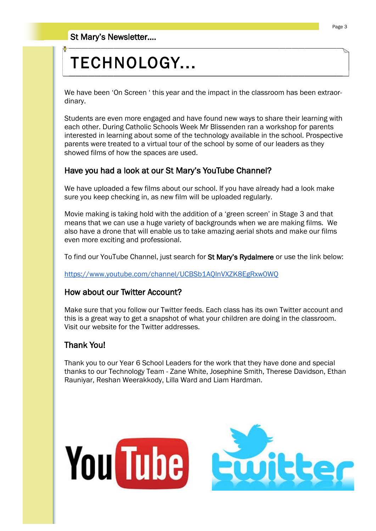# TECHNOLOGY...

We have been 'On Screen ' this year and the impact in the classroom has been extraordinary.

Students are even more engaged and have found new ways to share their learning with each other. During Catholic Schools Week Mr Blissenden ran a workshop for parents interested in learning about some of the technology available in the school. Prospective parents were treated to a virtual tour of the school by some of our leaders as they showed films of how the spaces are used.

## Have you had a look at our St Mary's YouTube Channel?

We have uploaded a few films about our school. If you have already had a look make sure you keep checking in, as new film will be uploaded regularly.

Movie making is taking hold with the addition of a 'green screen' in Stage 3 and that means that we can use a huge variety of backgrounds when we are making films. We also have a drone that will enable us to take amazing aerial shots and make our films even more exciting and professional.

To find our YouTube Channel, just search for St Mary's Rydalmere or use the link below:

[https://www.youtube.com/channel/UCBSb1AQlnVXZK8EgRxw0WQ](https://www.youtube.com/channel/UC-BSb1AQlnVXZK8EgRxw0WQ)

#### How about our Twitter Account?

Make sure that you follow our Twitter feeds. Each class has its own Twitter account and this is a great way to get a snapshot of what your children are doing in the classroom. Visit our website for the Twitter addresses.

## Thank You!

Thank you to our Year 6 School Leaders for the work that they have done and special thanks to our Technology Team - Zane White, Josephine Smith, Therese Davidson, Ethan Rauniyar, Reshan Weerakkody, Lilla Ward and Liam Hardman.